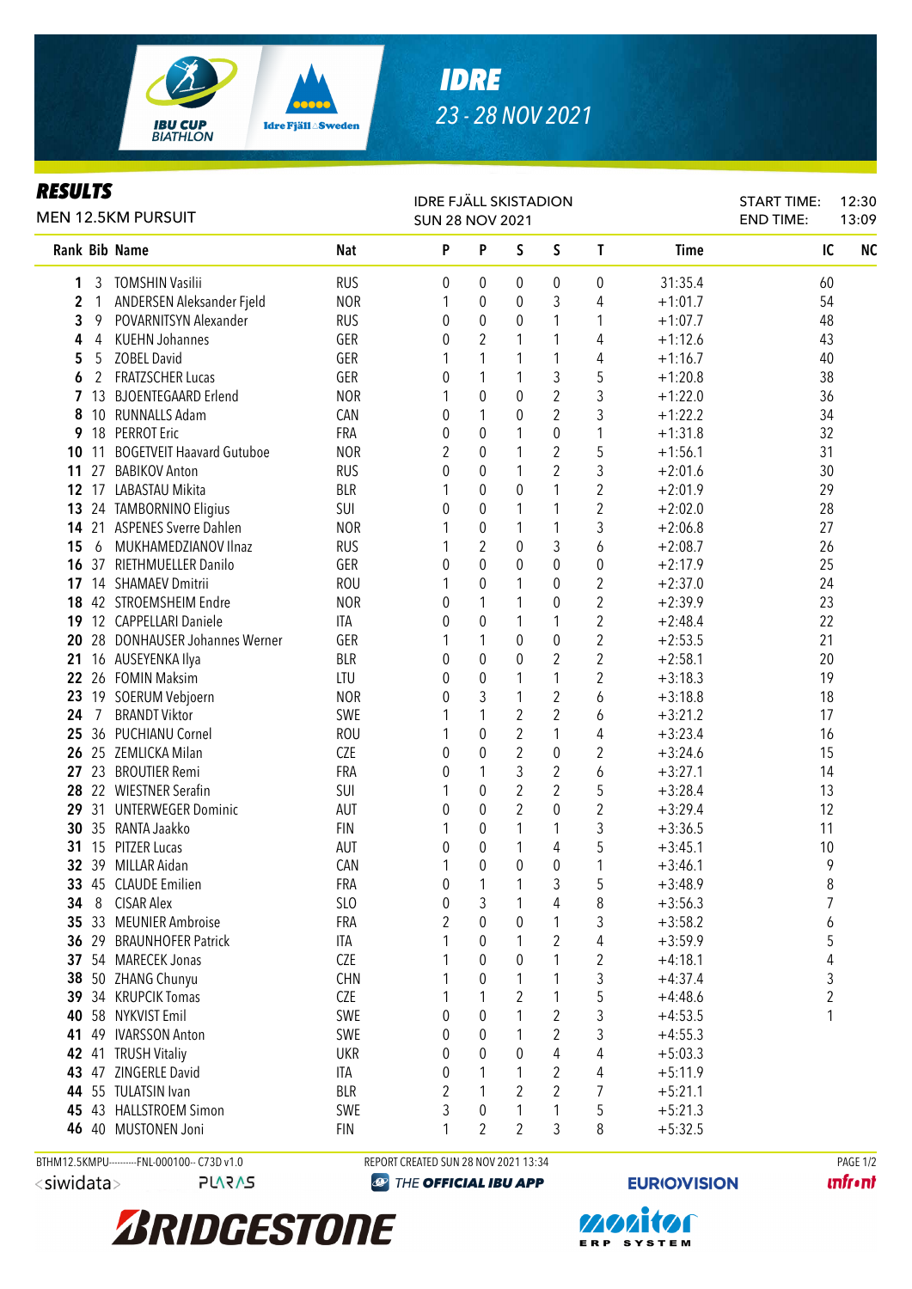

## *RESULTS*

| rljvli J<br><b>MEN 12.5KM PURSUIT</b> |                       |                                            |                   | <b>IDRE FJÄLL SKISTADION</b><br><b>SUN 28 NOV 2021</b> |                  |                  |                     |                         |                        | <b>START TIME:</b><br><b>END TIME:</b> | 12:30<br>13:09 |
|---------------------------------------|-----------------------|--------------------------------------------|-------------------|--------------------------------------------------------|------------------|------------------|---------------------|-------------------------|------------------------|----------------------------------------|----------------|
|                                       |                       | Rank Bib Name                              | <b>Nat</b>        | P                                                      | P                | S                | S                   | $\mathsf{T}$            | <b>Time</b>            | IC                                     | <b>NC</b>      |
| 1                                     | 3                     | TOMSHIN Vasilii                            | <b>RUS</b>        | 0                                                      | 0                | 0                | 0                   | 0                       | 31:35.4                | 60                                     |                |
| 2                                     | $\mathbf{1}$          | ANDERSEN Aleksander Fjeld                  | <b>NOR</b>        | 1                                                      | 0                | 0                | 3                   | 4                       | $+1:01.7$              | 54                                     |                |
| 3                                     | 9                     | POVARNITSYN Alexander                      | <b>RUS</b>        | 0                                                      | $\boldsymbol{0}$ | 0                | 1                   | 1                       | $+1:07.7$              | 48                                     |                |
| 4                                     | 4                     | <b>KUEHN Johannes</b>                      | GER               | 0                                                      | $\overline{2}$   | 1                | 1                   | 4                       | $+1:12.6$              | 43                                     |                |
| 5                                     | 5                     | <b>ZOBEL David</b>                         | GER               |                                                        | 1                | 1                | 1                   | 4                       | $+1:16.7$              | 40                                     |                |
| 6                                     | $\mathbf{2}^{\prime}$ | <b>FRATZSCHER Lucas</b>                    | GER               | 0                                                      | 1                | 1                | 3                   | 5                       | $+1:20.8$              | 38                                     |                |
| $\mathbf{7}$                          | 13                    | <b>BJOENTEGAARD Erlend</b>                 | <b>NOR</b>        |                                                        | $\boldsymbol{0}$ | 0                | $\overline{2}$      | 3                       | $+1:22.0$              | 36                                     |                |
| 8                                     |                       | 10 RUNNALLS Adam                           | CAN               | 0                                                      | 1                | 0                | $\overline{2}$      | 3                       | $+1:22.2$              | 34                                     |                |
|                                       | 9 18                  | <b>PERROT Eric</b>                         | FRA               | 0                                                      | $\boldsymbol{0}$ | 1                | 0                   | 1                       | $+1:31.8$              | 32                                     |                |
| 10                                    | 11                    | <b>BOGETVEIT Haavard Gutuboe</b>           | <b>NOR</b>        | 2                                                      | 0                | 1                | $\overline{2}$      | 5                       | $+1:56.1$              | 31                                     |                |
| 11                                    | 27                    | <b>BABIKOV Anton</b>                       | <b>RUS</b>        | 0                                                      | $\mathbf 0$      | 1                | $\overline{2}$      | 3                       | $+2:01.6$              | 30                                     |                |
|                                       |                       | 12 17 LABASTAU Mikita                      | <b>BLR</b>        |                                                        | $\mathbf 0$      | 0                | 1                   | $\overline{2}$          | $+2:01.9$              | 29                                     |                |
|                                       |                       | 13 24 TAMBORNINO Eligius                   | SUI               | 0                                                      | 0                | 1                | 1                   | $\overline{2}$          | $+2:02.0$              | 28                                     |                |
|                                       |                       | 14 21 ASPENES Sverre Dahlen                | <b>NOR</b>        |                                                        | $\boldsymbol{0}$ | 1                | 1                   | 3                       | $+2:06.8$              | 27                                     |                |
| 15                                    | 6                     | MUKHAMEDZIANOV Ilnaz                       | <b>RUS</b>        |                                                        | $\overline{2}$   | 0                | 3                   | 6                       | $+2:08.7$              | 26                                     |                |
|                                       |                       | 16 37 RIETHMUELLER Danilo                  | GER               | 0                                                      | $\mathbf 0$      | 0                | 0                   | 0                       | $+2:17.9$              | 25                                     |                |
|                                       |                       | 17 14 SHAMAEV Dmitrii                      | <b>ROU</b>        |                                                        | 0                | 1                | 0                   | 2                       | $+2:37.0$              | 24                                     |                |
|                                       |                       | 18 42 STROEMSHEIM Endre                    | <b>NOR</b>        | 0                                                      | 1                | 1                | 0                   | $\overline{\mathbf{c}}$ | $+2:39.9$              | 23                                     |                |
|                                       |                       | 19 12 CAPPELLARI Daniele                   | ITA               | 0                                                      | 0                | 1                | 1                   | $\overline{\mathbf{c}}$ | $+2:48.4$              | 22                                     |                |
| 20                                    |                       | 28 DONHAUSER Johannes Werner               | GER               |                                                        | 1                | 0                | 0<br>$\overline{2}$ | $\overline{2}$          | $+2:53.5$              | 21                                     |                |
| 21                                    |                       | 16 AUSEYENKA Ilya                          | <b>BLR</b>        | 0                                                      | 0                | 0                |                     | $\overline{2}$          | $+2:58.1$              | 20                                     |                |
|                                       |                       | 22 26 FOMIN Maksim                         | LTU<br><b>NOR</b> | 0                                                      | $\mathbf 0$<br>3 | 1<br>1           | 1<br>$\overline{2}$ | 2                       | $+3:18.3$              | 19<br>18                               |                |
| 23<br>24                              | $\overline{7}$        | 19 SOERUM Vebjoern<br><b>BRANDT Viktor</b> | SWE               | 0                                                      | 1                | $\boldsymbol{2}$ | $\overline{2}$      | 6                       | $+3:18.8$<br>$+3:21.2$ | 17                                     |                |
|                                       |                       | 25 36 PUCHIANU Cornel                      | <b>ROU</b>        |                                                        | $\boldsymbol{0}$ | 2                | 1                   | 6<br>4                  | $+3:23.4$              | 16                                     |                |
|                                       |                       | 26 25 ZEMLICKA Milan                       | <b>CZE</b>        |                                                        | $\boldsymbol{0}$ | $\overline{2}$   | $\mathbf 0$         | 2                       | $+3:24.6$              | 15                                     |                |
|                                       |                       | 27 23 BROUTIER Remi                        | FRA               | 0<br>0                                                 | 1                | 3                | $\overline{2}$      | 6                       | $+3:27.1$              | 14                                     |                |
|                                       |                       | 28 22 WIESTNER Serafin                     | SUI               |                                                        | $\boldsymbol{0}$ | $\overline{2}$   | $\overline{2}$      | 5                       | $+3:28.4$              | 13                                     |                |
|                                       |                       | 29 31 UNTERWEGER Dominic                   | AUT               | 0                                                      | $\mathbf 0$      | $\overline{2}$   | $\mathbf 0$         | $\overline{2}$          | $+3:29.4$              | 12                                     |                |
|                                       |                       | 30 35 RANTA Jaakko                         | <b>FIN</b>        | 1                                                      | 0                | 1                | 1                   | 3                       | $+3:36.5$              | 11                                     |                |
|                                       |                       | 31 15 PITZER Lucas                         | AUT               | 0                                                      | 0                | 1                | 4                   | 5                       | $+3:45.1$              | 10                                     |                |
|                                       |                       | 32 39 MILLAR Aidan                         | CAN               |                                                        | $\mathbf 0$      | 0                | $\pmb{0}$           | 1                       | $+3:46.1$              | 9                                      |                |
| 33                                    |                       | 45 CLAUDE Emilien                          | FRA               | 0                                                      |                  |                  | 3                   | 5                       | $+3:48.9$              | $\, 8$                                 |                |
| 34                                    | 8                     | <b>CISAR Alex</b>                          | SL <sub>O</sub>   | 0                                                      | 3                |                  | 4                   | 8                       | $+3:56.3$              | 7                                      |                |
|                                       |                       | 35 33 MEUNIER Ambroise                     | FRA               | 2                                                      | $\mathbf 0$      | 0                | 1                   | 3                       | $+3:58.2$              | 6                                      |                |
|                                       | 36 29                 | <b>BRAUNHOFER Patrick</b>                  | ITA               |                                                        | 0                | 1                | 2                   | 4                       | $+3:59.9$              | 5                                      |                |
|                                       |                       | 37 54 MARECEK Jonas                        | <b>CZE</b>        |                                                        | 0                | 0                | 1                   | 2                       | $+4:18.1$              | 4                                      |                |
|                                       |                       | 38 50 ZHANG Chunyu                         | <b>CHN</b>        |                                                        | 0                | 1                | 1                   | 3                       | $+4:37.4$              | 3                                      |                |
|                                       |                       | 39 34 KRUPCIK Tomas                        | <b>CZE</b>        |                                                        | 1                | 2                | 1                   | 5                       | $+4:48.6$              | 2                                      |                |
|                                       |                       | 40 58 NYKVIST Emil                         | SWE               | 0                                                      | 0                |                  | $\overline{2}$      | 3                       | $+4:53.5$              |                                        |                |
| 41                                    |                       | 49 IVARSSON Anton                          | SWE               | 0                                                      | 0                |                  | $\overline{2}$      | 3                       | $+4:55.3$              |                                        |                |
|                                       |                       | 42 41 TRUSH Vitaliy                        | <b>UKR</b>        | 0                                                      | 0                | 0                | 4                   | 4                       | $+5:03.3$              |                                        |                |
|                                       |                       | 43 47 ZINGERLE David                       | ITA               | 0                                                      | 1                | 1                | $\overline{2}$      | 4                       | $+5:11.9$              |                                        |                |
|                                       |                       | 44 55 TULATSIN Ivan                        | <b>BLR</b>        | 2                                                      | 1                | 2                | $\overline{2}$      | 7                       | $+5:21.1$              |                                        |                |
|                                       |                       | 45 43 HALLSTROEM Simon                     | SWE               | 3                                                      | 0                | 1                | 1                   | 5                       | $+5:21.3$              |                                        |                |
|                                       |                       | 46 40 MUSTONEN Joni                        | <b>FIN</b>        | 1                                                      | $\overline{2}$   | 2                | 3                   | 8                       | $+5:32.5$              |                                        |                |
|                                       |                       |                                            |                   |                                                        |                  |                  |                     |                         |                        |                                        |                |

<siwidata>

**PLARAS** 

BTHM12.5KMPU---------FNL-000100-- C73D v1.0 REPORT CREATED SUN 28 NOV 2021 13:34 PAGE 1/2

**EXP THE OFFICIAL IBU APP** 

**EURIO)VISION** 

**unfront**